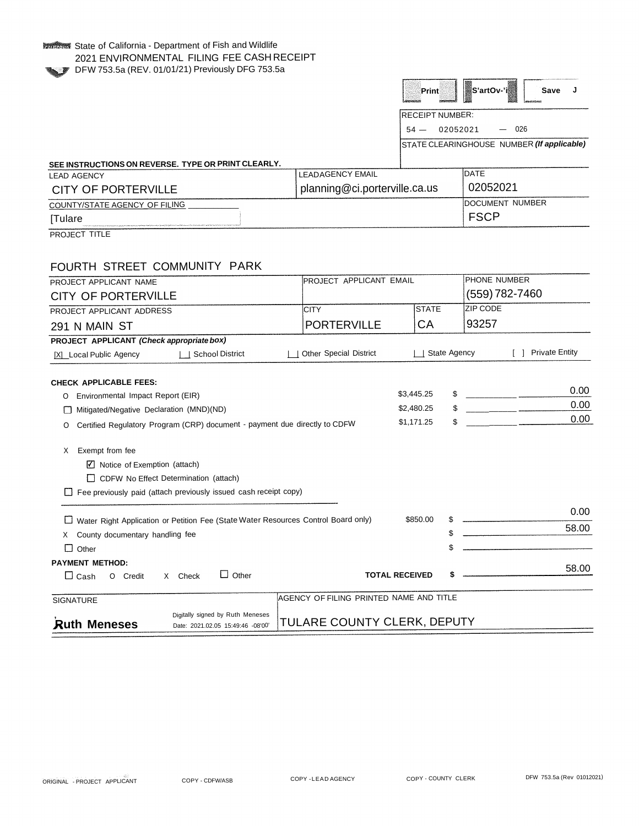## **KALLING State of California - Department of Fish and Wildlife** 2021 ENVIRONMENTAL FILING FEE CASH RECEIPT DFW 753.5a (REV. 01/01/21) Previously DFG 753.5a

| <b>RECEIPT NUMBER:</b> |  |
|------------------------|--|

 $54 - 02052021 - 026$ 

STATE CLEARINGHOUSE NUMBER *(If applicable)*

## **SEE INSTRUCTIONS ON REVERSE. TYPE OR PRINT CLEARLY.**

| SEE INSTRUCTIONS ON REVERSE. TYPE OR PRINT CLEARLY.                                                                                                                                                                                            |                               |  |                         |  |
|------------------------------------------------------------------------------------------------------------------------------------------------------------------------------------------------------------------------------------------------|-------------------------------|--|-------------------------|--|
| <b>I FAD AGENCY</b>                                                                                                                                                                                                                            | <b>I FADAGENCY EMAIL</b>      |  | DATE                    |  |
| CITY OF PORTERVILLE                                                                                                                                                                                                                            | planning@ci.porterville.ca.us |  | 02052021                |  |
| COUNTY/STATE AGENCY OF FILING                                                                                                                                                                                                                  |                               |  | <b>IDOCUMENT NUMBER</b> |  |
| <b>Tulare</b><br>contracts and analysis are administration of the MCDO MCDO Contract of the contract of the School Contract of the School Contract of the School Contract of the School Contract of the School Contract of the School Contract |                               |  | FSCP                    |  |

PROJECT TITLE

## FOURTH STREET COMMUNITY PARK

| FOURTH STREET COMMUNITY PARK                                                                 |                                         |                     |    |                                |  |                       |
|----------------------------------------------------------------------------------------------|-----------------------------------------|---------------------|----|--------------------------------|--|-----------------------|
| PROJECT APPLICANT NAME                                                                       | PROJECT APPLICANT EMAIL                 |                     |    | PHONE NUMBER<br>(559) 782-7460 |  |                       |
| <b>CITY OF PORTERVILLE</b>                                                                   |                                         |                     |    |                                |  |                       |
| PROJECT APPLICANT ADDRESS                                                                    | <b>CITY</b>                             | <b>STATE</b>        |    | <b>ZIP CODE</b>                |  |                       |
| 291 N MAIN ST                                                                                | <b>PORTERVILLE</b>                      | CA                  |    | 93257                          |  |                       |
| PROJECT APPLICANT (Check appropriate box)                                                    |                                         |                     |    |                                |  |                       |
| <b>School District</b><br>[X] Local Public Agency                                            | <b>Other Special District</b>           | <b>State Agency</b> |    |                                |  | <b>Private Entity</b> |
| <b>CHECK APPLICABLE FEES:</b>                                                                |                                         |                     |    |                                |  |                       |
| Environmental Impact Report (EIR)<br>O                                                       |                                         | \$3,445.25          | \$ |                                |  | 0.00                  |
| Mitigated/Negative Declaration (MND)(ND)<br>П                                                |                                         | \$2,480.25          | \$ |                                |  | 0.00                  |
| Certified Regulatory Program (CRP) document - payment due directly to CDFW<br>O              |                                         | \$1,171.25          | \$ |                                |  | 0.00                  |
|                                                                                              |                                         |                     |    |                                |  |                       |
| Exempt from fee<br>X                                                                         |                                         |                     |    |                                |  |                       |
| $\boxed{\triangle}$ Notice of Exemption (attach)                                             |                                         |                     |    |                                |  |                       |
| CDFW No Effect Determination (attach)                                                        |                                         |                     |    |                                |  |                       |
| $\Box$ Fee previously paid (attach previously issued cash receipt copy)                      |                                         |                     |    |                                |  |                       |
|                                                                                              |                                         |                     |    |                                |  | 0.00                  |
| Water Right Application or Petition Fee (State Water Resources Control Board only)           |                                         | \$850.00            | S  |                                |  | 58.00                 |
| County documentary handling fee<br>X                                                         |                                         |                     | \$ |                                |  |                       |
| $\Box$<br>Other                                                                              |                                         |                     | \$ |                                |  |                       |
| <b>PAYMENT METHOD:</b>                                                                       |                                         |                     |    |                                |  | 58.00                 |
| $\Box$ Other<br>X Check<br>$\square$ Cash<br>O Credit                                        | <b>TOTAL RECEIVED</b>                   |                     | \$ |                                |  |                       |
| <b>SIGNATURE</b>                                                                             | AGENCY OF FILING PRINTED NAME AND TITLE |                     |    |                                |  |                       |
| Digitally signed by Ruth Meneses<br><b>Ruth Meneses</b><br>Date: 2021.02.05 15:49:46 -08'00' | TULARE COUNTY CLERK, DEPUTY             |                     |    |                                |  |                       |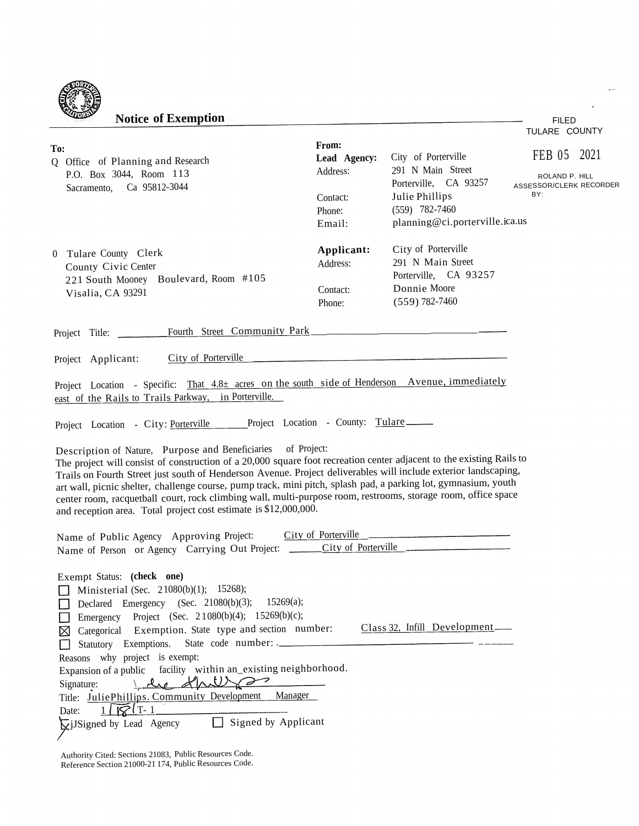| <b>Notice of Exemption</b>                                                                                                                                                                                                                                                                                                                                                                                                                                                                                                                                                                                      |                                               |                                                                                                         | <b>FILED</b>                                                    |
|-----------------------------------------------------------------------------------------------------------------------------------------------------------------------------------------------------------------------------------------------------------------------------------------------------------------------------------------------------------------------------------------------------------------------------------------------------------------------------------------------------------------------------------------------------------------------------------------------------------------|-----------------------------------------------|---------------------------------------------------------------------------------------------------------|-----------------------------------------------------------------|
|                                                                                                                                                                                                                                                                                                                                                                                                                                                                                                                                                                                                                 |                                               |                                                                                                         | TULARE COUNTY                                                   |
| To:<br>Q Office of Planning and Research<br>P.O. Box 3044, Room 113<br>Sacramento, Ca 95812-3044                                                                                                                                                                                                                                                                                                                                                                                                                                                                                                                | From:<br>Lead Agency:<br>Address:<br>Contact: | City of Porterville<br>291 N Main Street<br>Porterville, CA 93257<br>Julie Phillips                     | FEB 05 2021<br>ROLAND P. HILL<br>ASSESSOR/CLERK RECORDER<br>BY: |
|                                                                                                                                                                                                                                                                                                                                                                                                                                                                                                                                                                                                                 | Phone:<br>Email:                              | $(559)$ 782-7460<br>planning@ci.porterville.ica.us                                                      |                                                                 |
| 0 Tulare County Clerk<br>County Civic Center<br>221 South Mooney Boulevard, Room #105<br>Visalia, CA 93291                                                                                                                                                                                                                                                                                                                                                                                                                                                                                                      | Applicant:<br>Address:<br>Contact:<br>Phone:  | City of Porterville<br>291 N Main Street<br>Porterville, CA 93257<br>Donnie Moore<br>$(559) 782 - 7460$ |                                                                 |
| Fourth Street Community Park<br>Project Title:                                                                                                                                                                                                                                                                                                                                                                                                                                                                                                                                                                  |                                               |                                                                                                         |                                                                 |
| City of Porterville<br>Project Applicant:                                                                                                                                                                                                                                                                                                                                                                                                                                                                                                                                                                       |                                               |                                                                                                         |                                                                 |
| Project Location - Specific: That 4.8± acres on the south side of Henderson Avenue, immediately<br>east of the Rails to Trails Parkway, in Porterville.<br>Project Location - City: Porterville Project Location - County: Tulare                                                                                                                                                                                                                                                                                                                                                                               |                                               |                                                                                                         |                                                                 |
| Description of Nature, Purpose and Beneficiaries of Project:<br>The project will consist of construction of a 20,000 square foot recreation center adjacent to the existing Rails to<br>Trails on Fourth Street just south of Henderson Avenue. Project deliverables will include exterior landscaping,<br>art wall, picnic shelter, challenge course, pump track, mini pitch, splash pad, a parking lot, gymnasium, youth<br>center room, racquetball court, rock climbing wall, multi-purpose room, restrooms, storage room, office space<br>and reception area. Total project cost estimate is \$12,000,000. |                                               |                                                                                                         |                                                                 |
| Name of Public Agency Approving Project:<br>Name of Person or Agency Carrying Out Project: _______City of Porterville                                                                                                                                                                                                                                                                                                                                                                                                                                                                                           | City of Porterville                           |                                                                                                         |                                                                 |
| Exempt Status: (check one)<br>Ministerial (Sec. 21080(b)(1); 15268);<br>Declared Emergency (Sec. 21080(b)(3); 15269(a);<br>Emergency Project (Sec. 21080(b)(4); 15269(b)(c);<br>⊠ Categorical Exemption. State type and section number:<br>Reasons why project is exempt:<br>Expansion of a public facility within an_existing neighborhood.<br>le drette<br>Signature:<br>Title: JuliePhillips. Community Development Manager<br>$1\sqrt{8}$ $T-1$<br>Date:<br><b>Q</b> iJSigned by Lead Agency □ Signed by Applicant                                                                                          |                                               | Class 32, Infill Development                                                                            |                                                                 |

Authority Cited: Sections 21083, Public Resources Code. Reference Section 21000-21 174, Public Resources Code.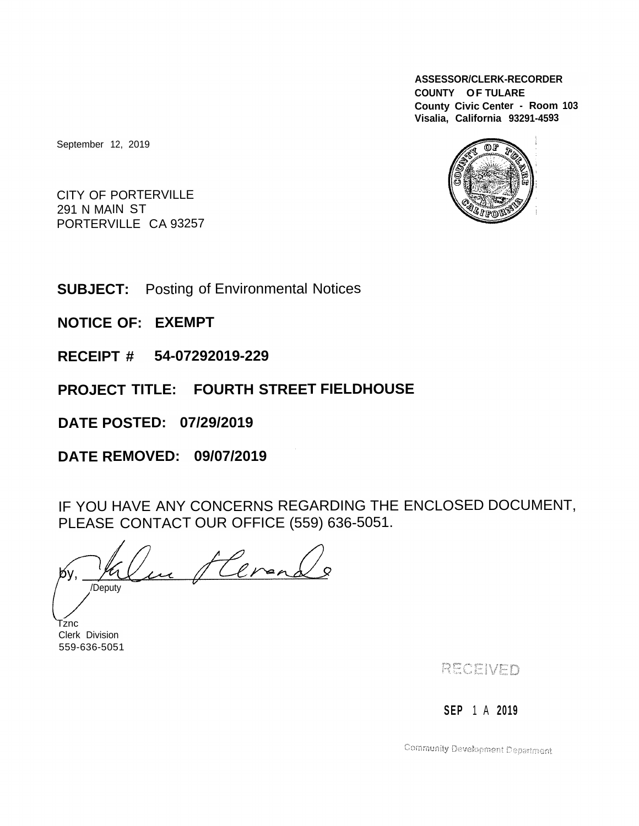**ASSESSOR/CLERK-RECORDER COUNTY OF TULARE County Civic Center - Room <sup>103</sup> Visalia, California 93291-4593**

തര

September 12, 2019

CITY OF PORTERVILLE CITY OF PORTI<br>291 N MAIN ST 291 N MAIN ST<br>PORTERVILLE CA 93257

**SUBJECT:** Posting of Environmental Notices

**NOTICE OF: EXEMPT**

**RECEIPT # 54-07292019-229**

**PROJECT TITLE: FOURTH STREET FIELDHOUSE**

**DATE POSTED: 07/29/2019**

**DATE REMOVED: 09/07/2019**

IF YOU HAVE ANY CONCERNS REGARDING THE ENCLOSED DOCUMENT, PLEASE CONTACT OUR OFFICE (559) 636-5051.

Herena /Deputy

Tznc Clerk Division 559-636-5051

RECEIVED

**SEP** 1 A **2019**

Community Development Department